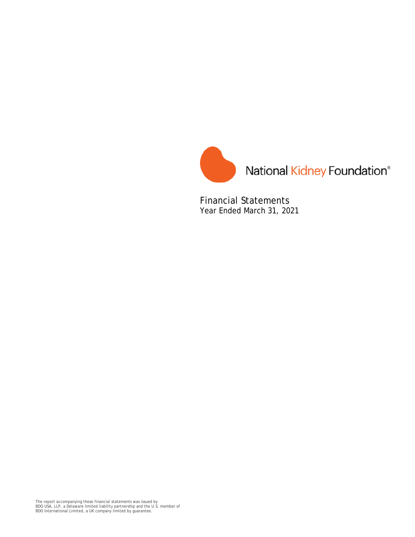

Financial Statements Year Ended March 31, 2021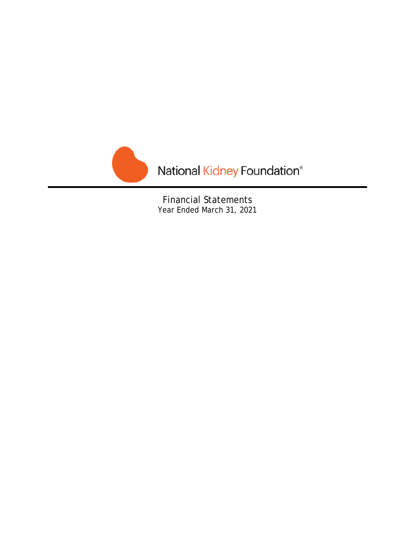

Financial Statements Year Ended March 31, 2021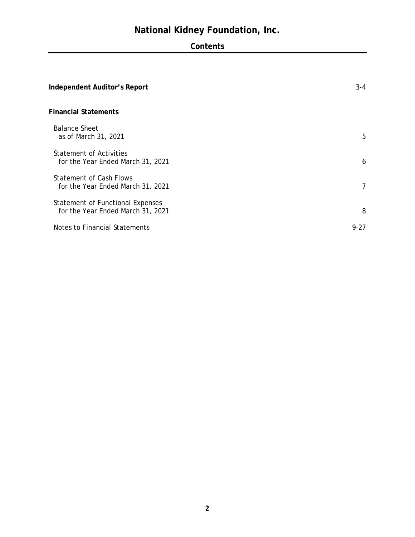# **Contents**

| <b>Independent Auditor's Report</b>                                   | $3 - 4$  |
|-----------------------------------------------------------------------|----------|
| <b>Financial Statements</b>                                           |          |
| <b>Balance Sheet</b><br>as of March 31, 2021                          | 5        |
| Statement of Activities<br>for the Year Ended March 31, 2021          | 6        |
| <b>Statement of Cash Flows</b><br>for the Year Ended March 31, 2021   | 7        |
| Statement of Functional Expenses<br>for the Year Ended March 31, 2021 | 8        |
| Notes to Financial Statements                                         | $9 - 27$ |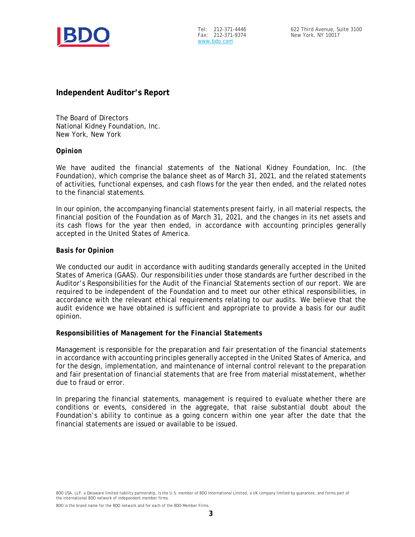

Tel: 212-371-4446 Fax: 212-371-9374 [www.bdo.com](http://www.bdo.com/)

## **Independent Auditor's Report**

The Board of Directors National Kidney Foundation, Inc. New York, New York

#### *Opinion*

We have audited the financial statements of the National Kidney Foundation, Inc. (the Foundation), which comprise the balance sheet as of March 31, 2021, and the related statements of activities, functional expenses, and cash flows for the year then ended, and the related notes to the financial statements.

In our opinion, the accompanying financial statements present fairly, in all material respects, the financial position of the Foundation as of March 31, 2021, and the changes in its net assets and its cash flows for the year then ended, in accordance with accounting principles generally accepted in the United States of America.

#### *Basis for Opinion*

We conducted our audit in accordance with auditing standards generally accepted in the United States of America (GAAS). Our responsibilities under those standards are further described in the Auditor's Responsibilities for the Audit of the Financial Statements section of our report. We are required to be independent of the Foundation and to meet our other ethical responsibilities, in accordance with the relevant ethical requirements relating to our audits. We believe that the audit evidence we have obtained is sufficient and appropriate to provide a basis for our audit opinion.

#### *Responsibilities of Management for the Financial Statements*

Management is responsible for the preparation and fair presentation of the financial statements in accordance with accounting principles generally accepted in the United States of America, and for the design, implementation, and maintenance of internal control relevant to the preparation and fair presentation of financial statements that are free from material misstatement, whether due to fraud or error.

In preparing the financial statements, management is required to evaluate whether there are conditions or events, considered in the aggregate, that raise substantial doubt about the Foundation's ability to continue as a going concern within one year after the date that the financial statements are issued or available to be issued.

BDO USA, LLP, a Delaware limited liability partnership, is the U.S. member of BDO International Limited, a UK company limited by guarantee, and forms part of the international BDO network of independent member firms.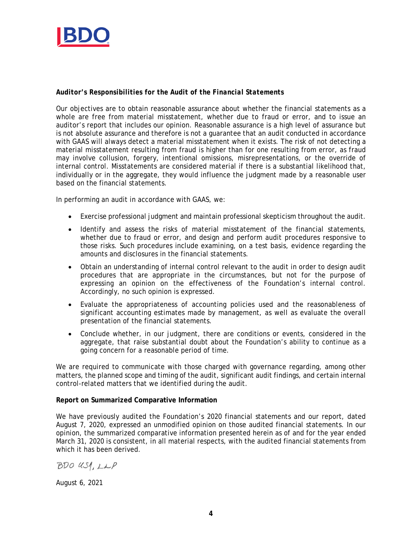

#### *Auditor's Responsibilities for the Audit of the Financial Statements*

Our objectives are to obtain reasonable assurance about whether the financial statements as a whole are free from material misstatement, whether due to fraud or error, and to issue an auditor's report that includes our opinion. Reasonable assurance is a high level of assurance but is not absolute assurance and therefore is not a guarantee that an audit conducted in accordance with GAAS will always detect a material misstatement when it exists. The risk of not detecting a material misstatement resulting from fraud is higher than for one resulting from error, as fraud may involve collusion, forgery, intentional omissions, misrepresentations, or the override of internal control. Misstatements are considered material if there is a substantial likelihood that, individually or in the aggregate, they would influence the judgment made by a reasonable user based on the financial statements.

In performing an audit in accordance with GAAS, we:

- Exercise professional judgment and maintain professional skepticism throughout the audit.
- Identify and assess the risks of material misstatement of the financial statements, whether due to fraud or error, and design and perform audit procedures responsive to those risks. Such procedures include examining, on a test basis, evidence regarding the amounts and disclosures in the financial statements.
- Obtain an understanding of internal control relevant to the audit in order to design audit procedures that are appropriate in the circumstances, but not for the purpose of expressing an opinion on the effectiveness of the Foundation's internal control. Accordingly, no such opinion is expressed.
- Evaluate the appropriateness of accounting policies used and the reasonableness of significant accounting estimates made by management, as well as evaluate the overall presentation of the financial statements.
- Conclude whether, in our judgment, there are conditions or events, considered in the aggregate, that raise substantial doubt about the Foundation's ability to continue as a going concern for a reasonable period of time.

We are required to communicate with those charged with governance regarding, among other matters, the planned scope and timing of the audit, significant audit findings, and certain internal control-related matters that we identified during the audit.

#### **Report on Summarized Comparative Information**

We have previously audited the Foundation's 2020 financial statements and our report, dated August 7, 2020, expressed an unmodified opinion on those audited financial statements. In our opinion, the summarized comparative information presented herein as of and for the year ended March 31, 2020 is consistent, in all material respects, with the audited financial statements from which it has been derived.

BDO USA, LLP

August 6, 2021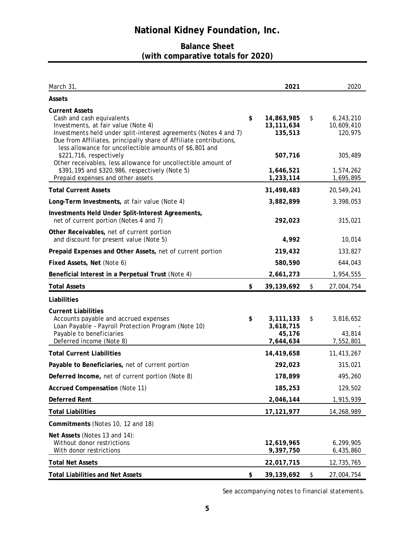## **Balance Sheet (with comparative totals for 2020)**

| March 31,                                                                                                                                                                                                                                                                                                                                                                                                                                    | 2021                                                              | 2020                                                             |
|----------------------------------------------------------------------------------------------------------------------------------------------------------------------------------------------------------------------------------------------------------------------------------------------------------------------------------------------------------------------------------------------------------------------------------------------|-------------------------------------------------------------------|------------------------------------------------------------------|
| Assets                                                                                                                                                                                                                                                                                                                                                                                                                                       |                                                                   |                                                                  |
| <b>Current Assets</b><br>Cash and cash equivalents<br>Investments, at fair value (Note 4)<br>Investments held under split-interest agreements (Notes 4 and 7)<br>Due from Affiliates, principally share of Affiliate contributions,<br>less allowance for uncollectible amounts of \$6,801 and<br>\$221,716, respectively<br>Other receivables, less allowance for uncollectible amount of<br>\$391,195 and \$320,986, respectively (Note 5) | \$<br>14,863,985<br>13,111,634<br>135,513<br>507,716<br>1,646,521 | \$<br>6,243,210<br>10,609,410<br>120,975<br>305,489<br>1,574,262 |
| Prepaid expenses and other assets                                                                                                                                                                                                                                                                                                                                                                                                            | 1,233,114                                                         | 1,695,895                                                        |
| <b>Total Current Assets</b>                                                                                                                                                                                                                                                                                                                                                                                                                  | 31,498,483                                                        | 20,549,241                                                       |
| Long-Term Investments, at fair value (Note 4)                                                                                                                                                                                                                                                                                                                                                                                                | 3,882,899                                                         | 3,398,053                                                        |
| Investments Held Under Split-Interest Agreements,<br>net of current portion (Notes 4 and 7)                                                                                                                                                                                                                                                                                                                                                  | 292,023                                                           | 315,021                                                          |
| Other Receivables, net of current portion<br>and discount for present value (Note 5)                                                                                                                                                                                                                                                                                                                                                         | 4,992                                                             | 10,014                                                           |
| Prepaid Expenses and Other Assets, net of current portion                                                                                                                                                                                                                                                                                                                                                                                    | 219,432                                                           | 133,827                                                          |
| Fixed Assets, Net (Note 6)                                                                                                                                                                                                                                                                                                                                                                                                                   | 580,590                                                           | 644,043                                                          |
| Beneficial Interest in a Perpetual Trust (Note 4)                                                                                                                                                                                                                                                                                                                                                                                            | 2,661,273                                                         | 1,954,555                                                        |
| <b>Total Assets</b>                                                                                                                                                                                                                                                                                                                                                                                                                          | \$<br>39,139,692                                                  | \$<br>27,004,754                                                 |
| Liabilities                                                                                                                                                                                                                                                                                                                                                                                                                                  |                                                                   |                                                                  |
| <b>Current Liabilities</b><br>Accounts payable and accrued expenses<br>Loan Payable - Payroll Protection Program (Note 10)<br>Payable to beneficiaries<br>Deferred income (Note 8)                                                                                                                                                                                                                                                           | \$<br>3,111,133<br>3,618,715<br>45,176<br>7,644,634               | \$<br>3,816,652<br>43,814<br>7,552,801                           |
| <b>Total Current Liabilities</b>                                                                                                                                                                                                                                                                                                                                                                                                             | 14,419,658                                                        | 11,413,267                                                       |
| Payable to Beneficiaries, net of current portion                                                                                                                                                                                                                                                                                                                                                                                             | 292,023                                                           | 315,021                                                          |
| Deferred Income, net of current portion (Note 8)                                                                                                                                                                                                                                                                                                                                                                                             | 178,899                                                           | 495,260                                                          |
| <b>Accrued Compensation (Note 11)</b>                                                                                                                                                                                                                                                                                                                                                                                                        | 185,253                                                           | 129,502                                                          |
| <b>Deferred Rent</b>                                                                                                                                                                                                                                                                                                                                                                                                                         | 2,046,144                                                         | 1,915,939                                                        |
| <b>Total Liabilities</b>                                                                                                                                                                                                                                                                                                                                                                                                                     | 17,121,977                                                        | 14,268,989                                                       |
| Commitments (Notes 10, 12 and 18)                                                                                                                                                                                                                                                                                                                                                                                                            |                                                                   |                                                                  |
| Net Assets (Notes 13 and 14):<br>Without donor restrictions<br>With donor restrictions                                                                                                                                                                                                                                                                                                                                                       | 12,619,965<br>9,397,750                                           | 6,299,905<br>6,435,860                                           |
| <b>Total Net Assets</b>                                                                                                                                                                                                                                                                                                                                                                                                                      | 22,017,715                                                        | 12,735,765                                                       |
| <b>Total Liabilities and Net Assets</b>                                                                                                                                                                                                                                                                                                                                                                                                      | \$<br>39,139,692                                                  | \$<br>27,004,754                                                 |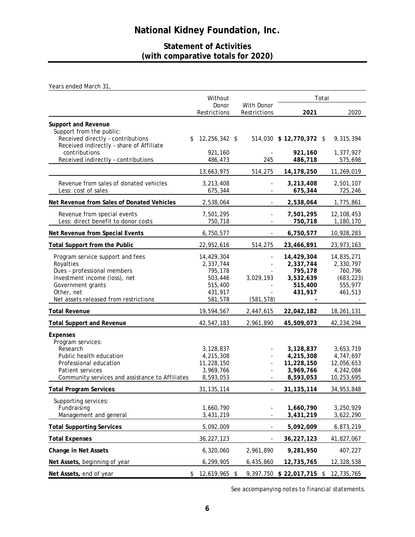## **Statement of Activities (with comparative totals for 2020)**

*Years ended March 31,*

|                                                                                                                                                                                           | Without                                                                        |                            |                                                                       | Total                                                                  |
|-------------------------------------------------------------------------------------------------------------------------------------------------------------------------------------------|--------------------------------------------------------------------------------|----------------------------|-----------------------------------------------------------------------|------------------------------------------------------------------------|
|                                                                                                                                                                                           | Donor<br>Restrictions                                                          | With Donor<br>Restrictions | 2021                                                                  | 2020                                                                   |
| <b>Support and Revenue</b>                                                                                                                                                                |                                                                                |                            |                                                                       |                                                                        |
| Support from the public:<br>Received directly - contributions<br>Received indirectly - share of Affiliate                                                                                 | 12,256,342 \$<br>\$                                                            |                            | 514,030 \$12,770,372 \$                                               | 9,315,394                                                              |
| contributions<br>Received indirectly - contributions                                                                                                                                      | 921,160<br>486,473                                                             | 245                        | 921,160<br>486,718                                                    | 1,377,927<br>575,698                                                   |
|                                                                                                                                                                                           | 13,663,975                                                                     | 514,275                    | 14,178,250                                                            | 11,269,019                                                             |
| Revenue from sales of donated vehicles<br>Less: cost of sales                                                                                                                             | 3,213,408<br>675,344                                                           |                            | 3,213,408<br>675,344                                                  | 2,501,107<br>725,246                                                   |
| Net Revenue from Sales of Donated Vehicles                                                                                                                                                | 2,538,064                                                                      |                            | 2,538,064                                                             | 1,775,861                                                              |
| Revenue from special events<br>Less: direct benefit to donor costs                                                                                                                        | 7,501,295<br>750,718                                                           |                            | 7,501,295<br>750,718                                                  | 12,108,453<br>1,180,170                                                |
| Net Revenue from Special Events                                                                                                                                                           | 6,750,577                                                                      |                            | 6,750,577                                                             | 10,928,283                                                             |
| <b>Total Support from the Public</b>                                                                                                                                                      | 22,952,616                                                                     | 514,275                    | 23,466,891                                                            | 23,973,163                                                             |
| Program service support and fees<br>Royalties<br>Dues - professional members<br>Investment income (loss), net<br>Government grants<br>Other, net<br>Net assets released from restrictions | 14,429,304<br>2,337,744<br>795,178<br>503,446<br>515,400<br>431,917<br>581,578 | 3,029,193<br>(581, 578)    | 14,429,304<br>2,337,744<br>795,178<br>3,532,639<br>515,400<br>431,917 | 14,835,271<br>2,330,797<br>760,796<br>(683, 223)<br>555,977<br>461,513 |
| <b>Total Revenue</b>                                                                                                                                                                      | 19,594,567                                                                     | 2,447,615                  | 22,042,182                                                            | 18,261,131                                                             |
| <b>Total Support and Revenue</b>                                                                                                                                                          | 42,547,183                                                                     | 2,961,890                  | 45,509,073                                                            | 42,234,294                                                             |
| <b>Expenses</b><br>Program services:<br>Research<br>Public health education<br>Professional education<br>Patient services<br>Community services and assistance to Affiliates              | 3,128,837<br>4,215,308<br>11,228,150<br>3,969,766<br>8,593,053                 |                            | 3,128,837<br>4,215,308<br>11,228,150<br>3,969,766<br>8,593,053        | 3,653,719<br>4,747,697<br>12,056,653<br>4,242,084<br>10,253,695        |
| <b>Total Program Services</b>                                                                                                                                                             | 31, 135, 114                                                                   |                            | 31, 135, 114                                                          | 34,953,848                                                             |
| Supporting services:<br>Fundraising<br>Management and general                                                                                                                             | 1,660,790<br>3,431,219                                                         |                            | 1,660,790<br>3,431,219                                                | 3,250,929<br>3,622,290                                                 |
| <b>Total Supporting Services</b>                                                                                                                                                          | 5,092,009                                                                      | $\overline{\phantom{a}}$   | 5,092,009                                                             | 6,873,219                                                              |
| <b>Total Expenses</b>                                                                                                                                                                     | 36,227,123                                                                     |                            | 36,227,123                                                            | 41,827,067                                                             |
| <b>Change in Net Assets</b>                                                                                                                                                               | 6,320,060                                                                      | 2,961,890                  | 9,281,950                                                             | 407,227                                                                |
| Net Assets, beginning of year                                                                                                                                                             | 6,299,905                                                                      | 6,435,860                  | 12,735,765                                                            | 12,328,538                                                             |
| Net Assets, end of year                                                                                                                                                                   | 12,619,965 \$<br>\$                                                            | 9,397,750                  | $$22,017,715$ \$                                                      | 12,735,765                                                             |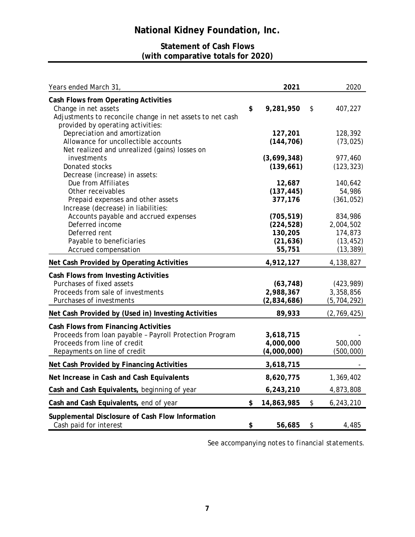## **Statement of Cash Flows (with comparative totals for 2020)**

| Years ended March 31,                                                                                                                                           | 2021                                             | 2020                                         |
|-----------------------------------------------------------------------------------------------------------------------------------------------------------------|--------------------------------------------------|----------------------------------------------|
| Cash Flows from Operating Activities<br>Change in net assets<br>Adjustments to reconcile change in net assets to net cash                                       | \$<br>9,281,950                                  | \$<br>407,227                                |
| provided by operating activities:<br>Depreciation and amortization<br>Allowance for uncollectible accounts<br>Net realized and unrealized (gains) losses on     | 127,201<br>(144, 706)                            | 128,392<br>(73, 025)                         |
| investments<br>Donated stocks<br>Decrease (increase) in assets:                                                                                                 | (3,699,348)<br>(139, 661)                        | 977,460<br>(123, 323)                        |
| Due from Affiliates<br>Other receivables<br>Prepaid expenses and other assets                                                                                   | 12,687<br>(137, 445)<br>377,176                  | 140,642<br>54,986<br>(361, 052)              |
| Increase (decrease) in liabilities:<br>Accounts payable and accrued expenses<br>Deferred income<br>Deferred rent<br>Payable to beneficiaries                    | (705, 519)<br>(224, 528)<br>130,205<br>(21, 636) | 834,986<br>2,004,502<br>174,873<br>(13, 452) |
| Accrued compensation<br>Net Cash Provided by Operating Activities                                                                                               | 55,751<br>4,912,127                              | (13, 389)<br>4,138,827                       |
| Cash Flows from Investing Activities<br>Purchases of fixed assets<br>Proceeds from sale of investments<br>Purchases of investments                              | (63, 748)<br>2,988,367<br>(2,834,686)            | (423, 989)<br>3,358,856<br>(5, 704, 292)     |
| Net Cash Provided by (Used in) Investing Activities                                                                                                             | 89,933                                           | (2, 769, 425)                                |
| Cash Flows from Financing Activities<br>Proceeds from Ioan payable - Payroll Protection Program<br>Proceeds from line of credit<br>Repayments on line of credit | 3,618,715<br>4,000,000<br>(4,000,000)            | 500,000<br>(500,000)                         |
| Net Cash Provided by Financing Activities                                                                                                                       | 3,618,715                                        |                                              |
| Net Increase in Cash and Cash Equivalents                                                                                                                       | 8,620,775                                        | 1,369,402                                    |
| Cash and Cash Equivalents, beginning of year                                                                                                                    | 6,243,210                                        | 4,873,808                                    |
| Cash and Cash Equivalents, end of year                                                                                                                          | \$<br>14,863,985                                 | \$<br>6,243,210                              |
| Supplemental Disclosure of Cash Flow Information<br>Cash paid for interest                                                                                      | \$<br>56,685                                     | \$<br>4,485                                  |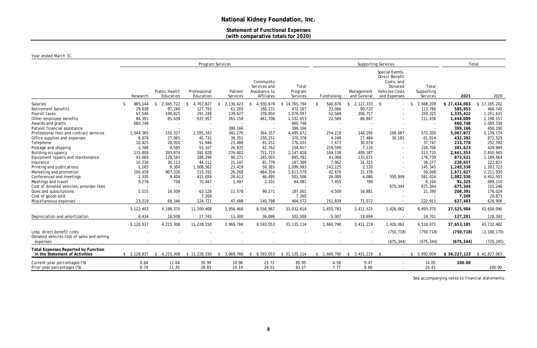## **Statement of Functional Expenses (with comparative totals for 2020)**

|                                                                              | Program Services |                            |                           |                         |                                                          |                              |               | <b>Supporting Services</b> |                                                                                                     |                                 |              | Total         |  |
|------------------------------------------------------------------------------|------------------|----------------------------|---------------------------|-------------------------|----------------------------------------------------------|------------------------------|---------------|----------------------------|-----------------------------------------------------------------------------------------------------|---------------------------------|--------------|---------------|--|
|                                                                              | Research         | Public Health<br>Education | Professional<br>Education | Patient<br>Services     | Community<br>Services and<br>Assistance to<br>Affiliates | Total<br>Program<br>Services | Fundraising   | Management<br>and General  | Special Events,<br>Direct Benefit<br>Costs, and<br>Donated<br><b>Vehicles Costs</b><br>and Expenses | Total<br>Supporting<br>Services | 2021         | 2020          |  |
| Salaries                                                                     | 885,144<br>-\$   | 2,045,722<br>\$            | 4,767,827<br>-S           | \$<br>2,136,423         | 4,930,678<br>\$                                          | \$14,765,794                 | \$<br>540,876 | 2,127,333<br>\$            | - \$                                                                                                | 2,668,209<br>\$                 | \$17,434,003 | \$17,165,202  |  |
| Retirement benefits                                                          | 29,638           | 87,240                     | 127,793                   | 61,265                  | 166,231                                                  | 472,167                      | 23,066        | 90,720                     |                                                                                                     | 113,786                         | 585,953      | 466,745       |  |
| Payroll taxes                                                                | 67,546           | 198,825                    | 291,249                   | 139,627                 | 378,850                                                  | 1,076,097                    | 52,568        | 206,757                    | $\sim$                                                                                              | 259,325                         | 1,335,422    | 1,251,631     |  |
| Other employee benefits                                                      | 84,391           | 85,439                     | 637,957                   | 263,158                 | 461,708                                                  | 1,532,653                    | 22,589        | 88,847                     |                                                                                                     | 111,436                         | 1,644,089    | 2,198,157     |  |
| Awards and grants                                                            | 660,748          |                            |                           |                         |                                                          | 660,748                      |               |                            |                                                                                                     |                                 | 660,748      | 1,089,336     |  |
| Patient financial assistance                                                 |                  |                            |                           | 399,166                 |                                                          | 399,166                      |               |                            |                                                                                                     | $\overline{\phantom{a}}$        | 399,166      | 458,190       |  |
| Professional fees and contract services                                      | 1,044,365        | 150,337                    | 2,595,343                 | 341,270                 | 364,357                                                  | 4,495,672                    | 254,218       | 148,295                    | 169,687                                                                                             | 572,200                         | 5,067,872    | 5,139,174     |  |
| Office supplies and expenses                                                 | 8,979            | 27,065                     | 45,732                    | 38,351                  | 250,251                                                  | 370,378                      | 4,248         | 27,484                     | 30,182                                                                                              | 61,914                          | 432,292      | 872,529       |  |
| Telephone                                                                    | 10,425           | 28,920                     | 51,946                    | 23,488                  | 61,252                                                   | 176,031                      | 7,673         | 30,074                     |                                                                                                     | 37,747                          | 213,778      | 252,592       |  |
| Postage and shipping                                                         | 2,388            | 9,585                      | 53,347                    | 26,835                  | 62,762                                                   | 154,917                      | 219,590       | 7,116                      | $\overline{\phantom{a}}$                                                                            | 226,706                         | 381,623      | 429,889       |  |
| Building occupancy                                                           | 133,809          | 393,874                    | 591,828                   | 276,602                 | 751,715                                                  | 2,147,828                    | 104,138       | 409,587                    |                                                                                                     | 513,725                         | 2,661,553    | 2,850,945     |  |
| Equipment repairs and maintenance                                            | 43,669           | 128,543                    | 188,296                   | 90,271                  | 245,003                                                  | 695,782                      | 43,068        | 133,671                    |                                                                                                     | 176,739                         | 872,521      | 1,189,664     |  |
| Insurance                                                                    | 10,230           | 30, 113                    | 44,112                    | 21,147                  | 81,778                                                   | 187,380                      | 7,962         | 31,315                     |                                                                                                     | 39,277                          | 226,657      | 222,821       |  |
| Printing and publications                                                    | 1,265            | 8,364                      | 1,008,562                 | 23,419                  | 58,383                                                   | 1,099,993                    | 143,225       | 2,120                      |                                                                                                     | 145,345                         | 1,245,338    | 1,103,723     |  |
| Marketing and promotion                                                      | 100,459          | 907,326                    | 115,192                   | 26,268                  | 464,334                                                  | 1,613,579                    | 42,670        | 15,378                     |                                                                                                     | 58,048                          | 1,671,627    | 2,211,930     |  |
| Conferences and meetings                                                     | 1,335            | 9,404                      | 415,659                   | 28,613                  | 46,495                                                   | 501,506                      | 26,089        | 4,086                      | 550,849                                                                                             | 581,024                         | 1,082,530    | 4,452,503     |  |
| Meetings and travel                                                          | 9,278            | 758                        | 70,447                    | 1,497                   | 2,101                                                    | 84,081                       | 7,455         | 789                        |                                                                                                     | 8,244                           | 92,325       | 689,210       |  |
| Cost of donated vehicles, provider fees                                      |                  |                            |                           |                         |                                                          |                              |               |                            | 675,344                                                                                             | 675,344                         | 675,344      | 725,246       |  |
| Dues and subscriptions                                                       | 5,515            | 16,509                     | 63,128                    | 11,578                  | 90,271                                                   | 187,001                      | 4,509         | 16,881                     |                                                                                                     | 21,390                          | 208,391      | 178,024       |  |
| Cost of goods sold                                                           |                  |                            | 7,269                     | $\blacksquare$          |                                                          | 7,269                        |               |                            |                                                                                                     |                                 | 7,269        | 29,673        |  |
| Miscellaneous expenses                                                       | 23,219           | 68,346                     | 124,721                   | 47,488                  | 140,798                                                  | 404,572                      | 151,839       | 71,072                     |                                                                                                     | 222,911                         | 627,483      | 626,906       |  |
|                                                                              | 3,122,403        | 4,196,370                  | 11,200,408                | 3,956,466               | 8,556,967                                                | 31,032,614                   | 1,655,783     | 3,411,525                  | 1,426,062                                                                                           | 6,493,370                       | 37,525,984   | 43,604,090    |  |
| Depreciation and amortization                                                | 6,434            | 18,938                     | 27,742                    | 13,300                  | 36,086                                                   | 102,500                      | 5,007         | 19,694                     | $\sim$                                                                                              | 24,701                          | 127,201      | 128,392       |  |
|                                                                              | 3,128,837        | 4,215,308                  | 11,228,150                | 3,969,766               | 8,593,053                                                | 31, 135, 114                 | 1,660,790     | 3,431,219                  | 1,426,062                                                                                           | 6,518,071                       | 37,653,185   | 43,732,482    |  |
| Less: direct benefit costs                                                   |                  |                            |                           |                         |                                                          |                              |               |                            | (750, 718)                                                                                          | (750, 718)                      | (750, 718)   | (1, 180, 170) |  |
| Donated vehicles cost of sales and selling<br>expenses                       |                  |                            |                           |                         |                                                          |                              |               |                            | (675, 344)                                                                                          | (675, 344)                      | (675, 344)   | (725, 245)    |  |
| <b>Total Expenses Reported by Function</b><br>in the Statement of Activities | \$3,128,837      | 4,215,308<br>\$            | \$11,228,150              | 3,969,766<br>$\sqrt{2}$ | 8,593,053<br>\$                                          | \$31,135,114                 | \$1,660,790   | \$3,431,219                | $\sqrt{5}$                                                                                          | 5,092,009<br>$-5$               | \$36,227,123 | \$41,827,067  |  |
| Current-year percentages (%)<br>Prior-year percentages (%)                   | 8.64<br>8.74     | 11.64<br>11.35             | 30.99<br>28.83            | 10.96<br>10.14          | 23.72<br>24.51                                           | 85.95<br>83.57               | 4.58<br>7.77  | 9.47<br>8.66               | $\sim$                                                                                              | 14.05<br>16.43                  | 100.00       | 100.00        |  |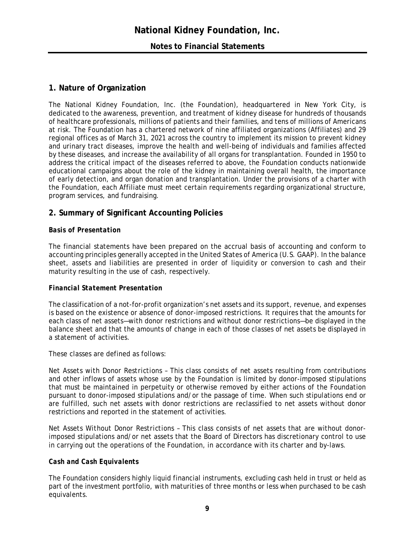## **1. Nature of Organization**

The National Kidney Foundation, Inc. (the Foundation), headquartered in New York City, is dedicated to the awareness, prevention, and treatment of kidney disease for hundreds of thousands of healthcare professionals, millions of patients and their families, and tens of millions of Americans at risk. The Foundation has a chartered network of nine affiliated organizations (Affiliates) and 29 regional offices as of March 31, 2021 across the country to implement its mission to prevent kidney and urinary tract diseases, improve the health and well-being of individuals and families affected by these diseases, and increase the availability of all organs for transplantation. Founded in 1950 to address the critical impact of the diseases referred to above, the Foundation conducts nationwide educational campaigns about the role of the kidney in maintaining overall health, the importance of early detection, and organ donation and transplantation. Under the provisions of a charter with the Foundation, each Affiliate must meet certain requirements regarding organizational structure, program services, and fundraising.

## **2. Summary of Significant Accounting Policies**

#### *Basis of Presentation*

The financial statements have been prepared on the accrual basis of accounting and conform to accounting principles generally accepted in the United States of America (U.S. GAAP). In the balance sheet, assets and liabilities are presented in order of liquidity or conversion to cash and their maturity resulting in the use of cash, respectively.

#### *Financial Statement Presentation*

The classification of a not-for-profit organization's net assets and its support, revenue, and expenses is based on the existence or absence of donor-imposed restrictions. It requires that the amounts for each class of net assets—with donor restrictions and without donor restrictions—be displayed in the balance sheet and that the amounts of change in each of those classes of net assets be displayed in a statement of activities.

These classes are defined as follows:

*Net Assets with Donor Restrictions* – This class consists of net assets resulting from contributions and other inflows of assets whose use by the Foundation is limited by donor-imposed stipulations that must be maintained in perpetuity or otherwise removed by either actions of the Foundation pursuant to donor-imposed stipulations and/or the passage of time. When such stipulations end or are fulfilled, such net assets with donor restrictions are reclassified to net assets without donor restrictions and reported in the statement of activities.

*Net Assets Without Donor Restrictions* – This class consists of net assets that are without donorimposed stipulations and/or net assets that the Board of Directors has discretionary control to use in carrying out the operations of the Foundation, in accordance with its charter and by-laws.

#### *Cash and Cash Equivalents*

The Foundation considers highly liquid financial instruments, excluding cash held in trust or held as part of the investment portfolio, with maturities of three months or less when purchased to be cash equivalents.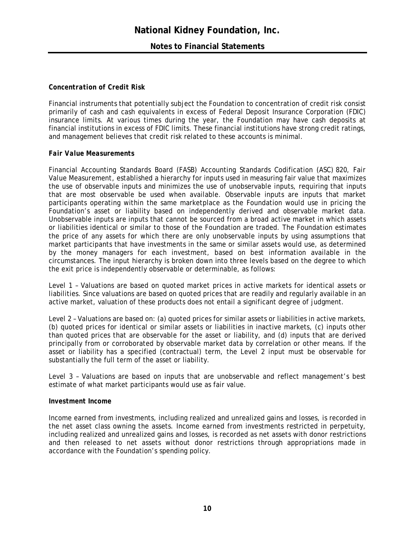#### *Concentration of Credit Risk*

Financial instruments that potentially subject the Foundation to concentration of credit risk consist primarily of cash and cash equivalents in excess of Federal Deposit Insurance Corporation (FDIC) insurance limits. At various times during the year, the Foundation may have cash deposits at financial institutions in excess of FDIC limits. These financial institutions have strong credit ratings, and management believes that credit risk related to these accounts is minimal.

#### *Fair Value Measurements*

Financial Accounting Standards Board (FASB) Accounting Standards Codification (ASC) 820, *Fair Value Measurement*, established a hierarchy for inputs used in measuring fair value that maximizes the use of observable inputs and minimizes the use of unobservable inputs, requiring that inputs that are most observable be used when available. Observable inputs are inputs that market participants operating within the same marketplace as the Foundation would use in pricing the Foundation's asset or liability based on independently derived and observable market data. Unobservable inputs are inputs that cannot be sourced from a broad active market in which assets or liabilities identical or similar to those of the Foundation are traded. The Foundation estimates the price of any assets for which there are only unobservable inputs by using assumptions that market participants that have investments in the same or similar assets would use, as determined by the money managers for each investment, based on best information available in the circumstances. The input hierarchy is broken down into three levels based on the degree to which the exit price is independently observable or determinable, as follows:

*Level 1* – Valuations are based on quoted market prices in active markets for identical assets or liabilities. Since valuations are based on quoted prices that are readily and regularly available in an active market, valuation of these products does not entail a significant degree of judgment.

*Level 2* – Valuations are based on: (a) quoted prices for similar assets or liabilities in active markets, (b) quoted prices for identical or similar assets or liabilities in inactive markets, (c) inputs other than quoted prices that are observable for the asset or liability, and (d) inputs that are derived principally from or corroborated by observable market data by correlation or other means. If the asset or liability has a specified (contractual) term, the Level 2 input must be observable for substantially the full term of the asset or liability.

*Level 3* – Valuations are based on inputs that are unobservable and reflect management's best estimate of what market participants would use as fair value.

#### *Investment Income*

Income earned from investments, including realized and unrealized gains and losses, is recorded in the net asset class owning the assets. Income earned from investments restricted in perpetuity, including realized and unrealized gains and losses, is recorded as net assets with donor restrictions and then released to net assets without donor restrictions through appropriations made in accordance with the Foundation's spending policy.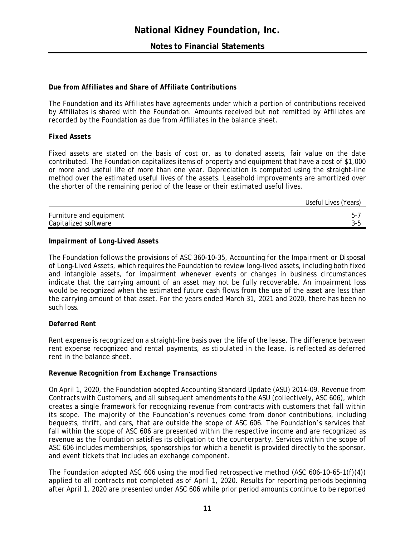#### *Due from Affiliates and Share of Affiliate Contributions*

The Foundation and its Affiliates have agreements under which a portion of contributions received by Affiliates is shared with the Foundation. Amounts received but not remitted by Affiliates are recorded by the Foundation as due from Affiliates in the balance sheet.

#### *Fixed Assets*

Fixed assets are stated on the basis of cost or, as to donated assets, fair value on the date contributed. The Foundation capitalizes items of property and equipment that have a cost of \$1,000 or more and useful life of more than one year. Depreciation is computed using the straight-line method over the estimated useful lives of the assets. Leasehold improvements are amortized over the shorter of the remaining period of the lease or their estimated useful lives.

|                         | Useful Lives (Years) |
|-------------------------|----------------------|
| Furniture and equipment | 5-                   |
| Capitalized software    | 3-E                  |

#### *Impairment of Long-Lived Assets*

The Foundation follows the provisions of ASC 360-10-35, *Accounting for the Impairment or Disposal of Long-Lived Assets*, which requires the Foundation to review long-lived assets, including both fixed and intangible assets, for impairment whenever events or changes in business circumstances indicate that the carrying amount of an asset may not be fully recoverable. An impairment loss would be recognized when the estimated future cash flows from the use of the asset are less than the carrying amount of that asset. For the years ended March 31, 2021 and 2020, there has been no such loss.

#### *Deferred Rent*

Rent expense is recognized on a straight-line basis over the life of the lease. The difference between rent expense recognized and rental payments, as stipulated in the lease, is reflected as deferred rent in the balance sheet.

#### *Revenue Recognition from Exchange Transactions*

On April 1, 2020, the Foundation adopted Accounting Standard Update (ASU) 2014-09, *Revenue from Contracts with Customers,* and all subsequent amendments to the ASU (collectively, ASC 606), which creates a single framework for recognizing revenue from contracts with customers that fall within its scope. The majority of the Foundation's revenues come from donor contributions, including bequests, thrift, and cars, that are outside the scope of ASC 606. The Foundation's services that fall within the scope of ASC 606 are presented within the respective income and are recognized as revenue as the Foundation satisfies its obligation to the counterparty. Services within the scope of ASC 606 includes memberships, sponsorships for which a benefit is provided directly to the sponsor, and event tickets that includes an exchange component.

The Foundation adopted ASC 606 using the modified retrospective method (ASC 606-10-65-1(f)(4)) applied to all contracts not completed as of April 1, 2020. Results for reporting periods beginning after April 1, 2020 are presented under ASC 606 while prior period amounts continue to be reported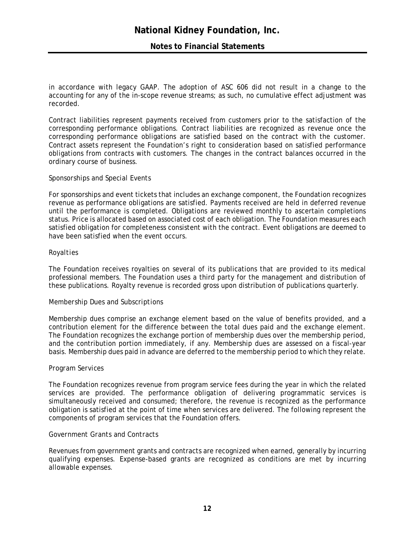in accordance with legacy GAAP. The adoption of ASC 606 did not result in a change to the accounting for any of the in-scope revenue streams; as such, no cumulative effect adjustment was recorded.

Contract liabilities represent payments received from customers prior to the satisfaction of the corresponding performance obligations. Contract liabilities are recognized as revenue once the corresponding performance obligations are satisfied based on the contract with the customer. Contract assets represent the Foundation's right to consideration based on satisfied performance obligations from contracts with customers. The changes in the contract balances occurred in the ordinary course of business.

#### *Sponsorships and Special Events*

For sponsorships and event tickets that includes an exchange component, the Foundation recognizes revenue as performance obligations are satisfied. Payments received are held in deferred revenue until the performance is completed. Obligations are reviewed monthly to ascertain completions status. Price is allocated based on associated cost of each obligation. The Foundation measures each satisfied obligation for completeness consistent with the contract. Event obligations are deemed to have been satisfied when the event occurs.

#### *Royalties*

The Foundation receives royalties on several of its publications that are provided to its medical professional members. The Foundation uses a third party for the management and distribution of these publications. Royalty revenue is recorded gross upon distribution of publications quarterly.

#### *Membership Dues and Subscriptions*

Membership dues comprise an exchange element based on the value of benefits provided, and a contribution element for the difference between the total dues paid and the exchange element. The Foundation recognizes the exchange portion of membership dues over the membership period, and the contribution portion immediately, if any. Membership dues are assessed on a fiscal-year basis. Membership dues paid in advance are deferred to the membership period to which they relate.

#### *Program Services*

The Foundation recognizes revenue from program service fees during the year in which the related services are provided. The performance obligation of delivering programmatic services is simultaneously received and consumed; therefore, the revenue is recognized as the performance obligation is satisfied at the point of time when services are delivered. The following represent the components of program services that the Foundation offers.

#### *Government Grants and Contracts*

Revenues from government grants and contracts are recognized when earned, generally by incurring qualifying expenses. Expense-based grants are recognized as conditions are met by incurring allowable expenses.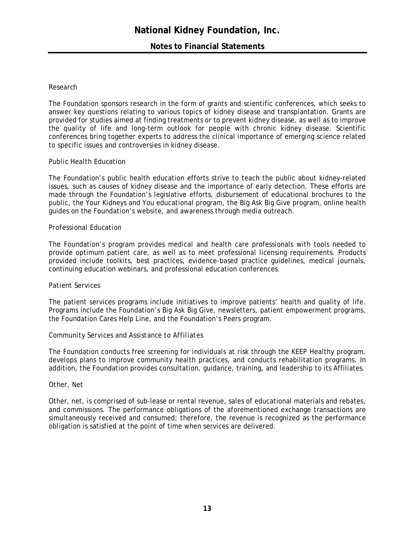#### *Research*

The Foundation sponsors research in the form of grants and scientific conferences, which seeks to answer key questions relating to various topics of kidney disease and transplantation. Grants are provided for studies aimed at finding treatments or to prevent kidney disease, as well as to improve the quality of life and long-term outlook for people with chronic kidney disease. Scientific conferences bring together experts to address the clinical importance of emerging science related to specific issues and controversies in kidney disease.

#### *Public Health Education*

The Foundation's public health education efforts strive to teach the public about kidney-related issues, such as causes of kidney disease and the importance of early detection. These efforts are made through the Foundation's legislative efforts, disbursement of educational brochures to the public, the Your Kidneys and You educational program, the Big Ask Big Give program, online health guides on the Foundation's website, and awareness through media outreach.

#### *Professional Education*

The Foundation's program provides medical and health care professionals with tools needed to provide optimum patient care, as well as to meet professional licensing requirements. Products provided include toolkits, best practices, evidence-based practice guidelines, medical journals, continuing education webinars, and professional education conferences.

#### *Patient Services*

The patient services programs include initiatives to improve patients' health and quality of life. Programs include the Foundation's Big Ask Big Give, newsletters, patient empowerment programs, the Foundation Cares Help Line, and the Foundation's Peers program.

#### *Community Services and Assistance to Affiliates*

The Foundation conducts free screening for individuals at risk through the KEEP Healthy program, develops plans to improve community health practices, and conducts rehabilitation programs. In addition, the Foundation provides consultation, guidance, training, and leadership to its Affiliates.

#### *Other, Net*

Other, net, is comprised of sub-lease or rental revenue, sales of educational materials and rebates, and commissions. The performance obligations of the aforementioned exchange transactions are simultaneously received and consumed; therefore, the revenue is recognized as the performance obligation is satisfied at the point of time when services are delivered.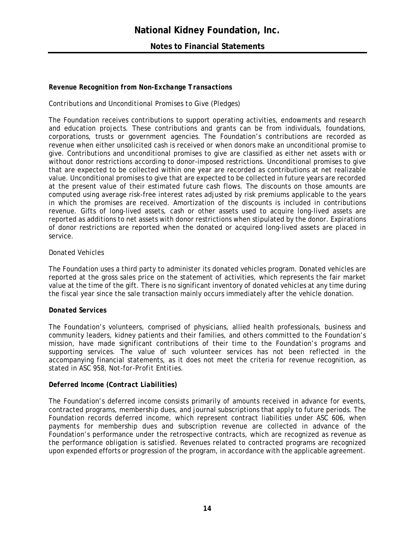## **Notes to Financial Statements**

#### *Revenue Recognition from Non-Exchange Transactions*

#### *Contributions and Unconditional Promises to Give (Pledges)*

The Foundation receives contributions to support operating activities, endowments and research and education projects. These contributions and grants can be from individuals, foundations, corporations, trusts or government agencies. The Foundation's contributions are recorded as revenue when either unsolicited cash is received or when donors make an unconditional promise to give. Contributions and unconditional promises to give are classified as either net assets with or without donor restrictions according to donor-imposed restrictions. Unconditional promises to give that are expected to be collected within one year are recorded as contributions at net realizable value. Unconditional promises to give that are expected to be collected in future years are recorded at the present value of their estimated future cash flows. The discounts on those amounts are computed using average risk-free interest rates adjusted by risk premiums applicable to the years in which the promises are received. Amortization of the discounts is included in contributions revenue. Gifts of long-lived assets, cash or other assets used to acquire long-lived assets are reported as additions to net assets with donor restrictions when stipulated by the donor. Expirations of donor restrictions are reported when the donated or acquired long-lived assets are placed in service.

#### *Donated Vehicles*

The Foundation uses a third party to administer its donated vehicles program. Donated vehicles are reported at the gross sales price on the statement of activities, which represents the fair market value at the time of the gift. There is no significant inventory of donated vehicles at any time during the fiscal year since the sale transaction mainly occurs immediately after the vehicle donation.

#### *Donated Services*

The Foundation's volunteers, comprised of physicians, allied health professionals, business and community leaders, kidney patients and their families, and others committed to the Foundation's mission, have made significant contributions of their time to the Foundation's programs and supporting services. The value of such volunteer services has not been reflected in the accompanying financial statements, as it does not meet the criteria for revenue recognition, as stated in ASC 958, *Not-for-Profit Entities*.

#### *Deferred Income (Contract Liabilities)*

The Foundation's deferred income consists primarily of amounts received in advance for events, contracted programs, membership dues, and journal subscriptions that apply to future periods. The Foundation records deferred income, which represent contract liabilities under ASC 606, when payments for membership dues and subscription revenue are collected in advance of the Foundation's performance under the retrospective contracts, which are recognized as revenue as the performance obligation is satisfied. Revenues related to contracted programs are recognized upon expended efforts or progression of the program, in accordance with the applicable agreement.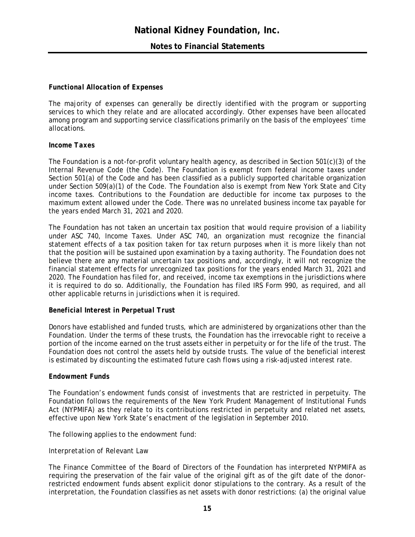#### *Functional Allocation of Expenses*

The majority of expenses can generally be directly identified with the program or supporting services to which they relate and are allocated accordingly. Other expenses have been allocated among program and supporting service classifications primarily on the basis of the employees' time allocations.

#### *Income Taxes*

The Foundation is a not-for-profit voluntary health agency, as described in Section 501(c)(3) of the Internal Revenue Code (the Code). The Foundation is exempt from federal income taxes under Section 501(a) of the Code and has been classified as a publicly supported charitable organization under Section 509(a)(1) of the Code. The Foundation also is exempt from New York State and City income taxes. Contributions to the Foundation are deductible for income tax purposes to the maximum extent allowed under the Code. There was no unrelated business income tax payable for the years ended March 31, 2021 and 2020.

The Foundation has not taken an uncertain tax position that would require provision of a liability under ASC 740, *Income Taxes*. Under ASC 740, an organization must recognize the financial statement effects of a tax position taken for tax return purposes when it is more likely than not that the position will be sustained upon examination by a taxing authority. The Foundation does not believe there are any material uncertain tax positions and, accordingly, it will not recognize the financial statement effects for unrecognized tax positions for the years ended March 31, 2021 and 2020. The Foundation has filed for, and received, income tax exemptions in the jurisdictions where it is required to do so. Additionally, the Foundation has filed IRS Form 990, as required, and all other applicable returns in jurisdictions when it is required.

#### *Beneficial Interest in Perpetual Trust*

Donors have established and funded trusts, which are administered by organizations other than the Foundation. Under the terms of these trusts, the Foundation has the irrevocable right to receive a portion of the income earned on the trust assets either in perpetuity or for the life of the trust. The Foundation does not control the assets held by outside trusts. The value of the beneficial interest is estimated by discounting the estimated future cash flows using a risk-adjusted interest rate.

#### *Endowment Funds*

The Foundation's endowment funds consist of investments that are restricted in perpetuity. The Foundation follows the requirements of the New York Prudent Management of Institutional Funds Act (NYPMIFA) as they relate to its contributions restricted in perpetuity and related net assets, effective upon New York State's enactment of the legislation in September 2010.

The following applies to the endowment fund:

#### *Interpretation of Relevant Law*

The Finance Committee of the Board of Directors of the Foundation has interpreted NYPMIFA as requiring the preservation of the fair value of the original gift as of the gift date of the donorrestricted endowment funds absent explicit donor stipulations to the contrary. As a result of the interpretation, the Foundation classifies as net assets with donor restrictions: (a) the original value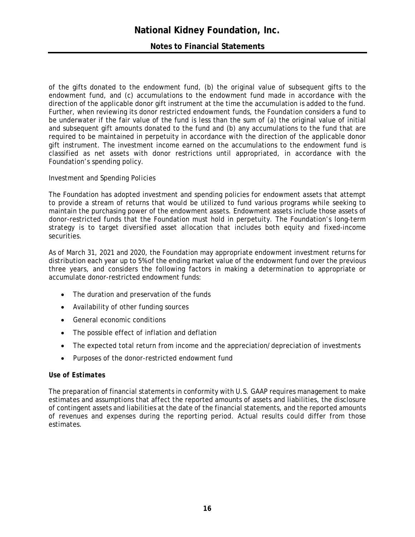## **Notes to Financial Statements**

of the gifts donated to the endowment fund, (b) the original value of subsequent gifts to the endowment fund, and (c) accumulations to the endowment fund made in accordance with the direction of the applicable donor gift instrument at the time the accumulation is added to the fund. Further, when reviewing its donor restricted endowment funds, the Foundation considers a fund to be underwater if the fair value of the fund is less than the sum of (a) the original value of initial and subsequent gift amounts donated to the fund and (b) any accumulations to the fund that are required to be maintained in perpetuity in accordance with the direction of the applicable donor gift instrument. The investment income earned on the accumulations to the endowment fund is classified as net assets with donor restrictions until appropriated, in accordance with the Foundation's spending policy.

#### *Investment and Spending Policies*

The Foundation has adopted investment and spending policies for endowment assets that attempt to provide a stream of returns that would be utilized to fund various programs while seeking to maintain the purchasing power of the endowment assets. Endowment assets include those assets of donor-restricted funds that the Foundation must hold in perpetuity. The Foundation's long-term strategy is to target diversified asset allocation that includes both equity and fixed-income securities.

As of March 31, 2021 and 2020, the Foundation may appropriate endowment investment returns for distribution each year up to 5% of the ending market value of the endowment fund over the previous three years, and considers the following factors in making a determination to appropriate or accumulate donor-restricted endowment funds:

- The duration and preservation of the funds
- Availability of other funding sources
- General economic conditions
- The possible effect of inflation and deflation
- The expected total return from income and the appreciation/depreciation of investments
- Purposes of the donor-restricted endowment fund

#### *Use of Estimates*

The preparation of financial statements in conformity with U.S. GAAP requires management to make estimates and assumptions that affect the reported amounts of assets and liabilities, the disclosure of contingent assets and liabilities at the date of the financial statements, and the reported amounts of revenues and expenses during the reporting period. Actual results could differ from those estimates.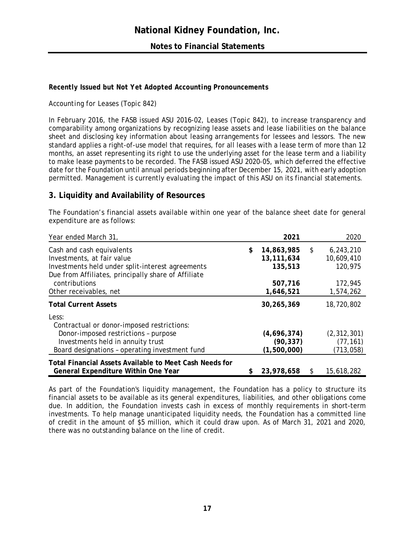#### *Recently Issued but Not Yet Adopted Accounting Pronouncements*

#### *Accounting for Leases (Topic 842)*

In February 2016, the FASB issued ASU 2016-02, *Leases (Topic 842)*, to increase transparency and comparability among organizations by recognizing lease assets and lease liabilities on the balance sheet and disclosing key information about leasing arrangements for lessees and lessors. The new standard applies a right-of-use model that requires, for all leases with a lease term of more than 12 months, an asset representing its right to use the underlying asset for the lease term and a liability to make lease payments to be recorded. The FASB issued ASU 2020-05, which deferred the effective date for the Foundation until annual periods beginning after December 15, 2021, with early adoption permitted. Management is currently evaluating the impact of this ASU on its financial statements.

## **3. Liquidity and Availability of Resources**

The Foundation's financial assets available within one year of the balance sheet date for general expenditure are as follows:

| Year ended March 31,                                                                                                                                                               |    | 2021                                    | 2020                                     |
|------------------------------------------------------------------------------------------------------------------------------------------------------------------------------------|----|-----------------------------------------|------------------------------------------|
| Cash and cash equivalents<br>Investments, at fair value<br>Investments held under split-interest agreements<br>Due from Affiliates, principally share of Affiliate                 | \$ | 14,863,985<br>13, 111, 634<br>135,513   | \$<br>6,243,210<br>10,609,410<br>120,975 |
| contributions<br>Other receivables, net                                                                                                                                            |    | 507,716<br>1,646,521                    | 172,945<br>1,574,262                     |
| <b>Total Current Assets</b>                                                                                                                                                        |    | 30,265,369                              | 18,720,802                               |
| Less:<br>Contractual or donor-imposed restrictions:<br>Donor-imposed restrictions - purpose<br>Investments held in annuity trust<br>Board designations - operating investment fund |    | (4,696,374)<br>(90, 337)<br>(1,500,000) | (2, 312, 301)<br>(77, 161)<br>(713, 058) |
| <b>Total Financial Assets Available to Meet Cash Needs for</b><br><b>General Expenditure Within One Year</b>                                                                       | S  | 23,978,658                              | \$<br>15,618,282                         |

As part of the Foundation's liquidity management, the Foundation has a policy to structure its financial assets to be available as its general expenditures, liabilities, and other obligations come due. In addition, the Foundation invests cash in excess of monthly requirements in short-term investments. To help manage unanticipated liquidity needs, the Foundation has a committed line of credit in the amount of \$5 million, which it could draw upon. As of March 31, 2021 and 2020, there was no outstanding balance on the line of credit.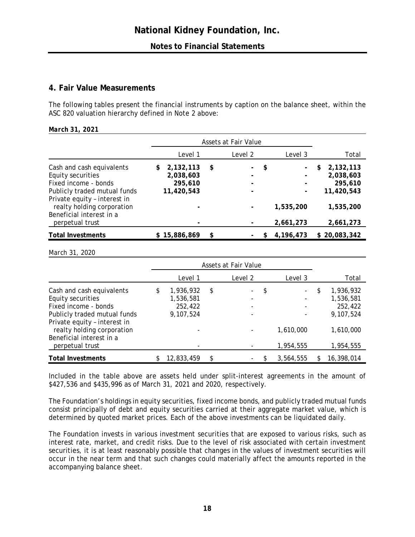### **4. Fair Value Measurements**

The following tables present the financial instruments by caption on the balance sheet, within the ASC 820 valuation hierarchy defined in Note 2 above:

*March 31, 2021*

|                                                                                                                                                                                                                     |                                                       | Assets at Fair Value |         |    |                                            |                                                                                 |  |  |
|---------------------------------------------------------------------------------------------------------------------------------------------------------------------------------------------------------------------|-------------------------------------------------------|----------------------|---------|----|--------------------------------------------|---------------------------------------------------------------------------------|--|--|
|                                                                                                                                                                                                                     | Level 1                                               |                      | Level 2 |    | Level 3                                    | Total                                                                           |  |  |
| Cash and cash equivalents<br>Equity securities<br>Fixed income - bonds<br>Publicly traded mutual funds<br>Private equity - interest in<br>realty holding corporation<br>Beneficial interest in a<br>perpetual trust | 2,132,113<br>S.<br>2,038,603<br>295,610<br>11,420,543 | \$                   |         | \$ | ٠<br>۰<br>٠<br>-<br>1,535,200<br>2,661,273 | 2,132,113<br>\$<br>2,038,603<br>295,610<br>11,420,543<br>1,535,200<br>2,661,273 |  |  |
| <b>Total Investments</b>                                                                                                                                                                                            | \$15,886,869                                          | \$                   |         |    | 4,196,473                                  | \$20,083,342                                                                    |  |  |

#### *March 31, 2020*

|                                                            |                          | Assets at Fair Value |    |                          |                 |
|------------------------------------------------------------|--------------------------|----------------------|----|--------------------------|-----------------|
|                                                            | Level 1                  | Level 2              |    | Level 3                  | Total           |
| Cash and cash equivalents                                  | \$<br>1,936,932          | \$                   | \$ | $\overline{\phantom{a}}$ | \$<br>1,936,932 |
| Equity securities                                          | 1,536,581                |                      |    | ٠                        | 1,536,581       |
| Fixed income - bonds                                       | 252,422                  |                      |    | $\overline{\phantom{a}}$ | 252,422         |
| Publicly traded mutual funds                               | 9,107,524                |                      |    | $\overline{\phantom{a}}$ | 9,107,524       |
| Private equity - interest in<br>realty holding corporation |                          |                      |    | 1,610,000                | 1,610,000       |
| Beneficial interest in a<br>perpetual trust                | $\overline{\phantom{0}}$ |                      |    | 1,954,555                | 1,954,555       |
| <b>Total Investments</b>                                   | 12,833,459               | \$                   | S  | 3.564.555                | 16,398,014      |

Included in the table above are assets held under split-interest agreements in the amount of \$427,536 and \$435,996 as of March 31, 2021 and 2020, respectively.

The Foundation's holdings in equity securities, fixed income bonds, and publicly traded mutual funds consist principally of debt and equity securities carried at their aggregate market value, which is determined by quoted market prices. Each of the above investments can be liquidated daily.

The Foundation invests in various investment securities that are exposed to various risks, such as interest rate, market, and credit risks. Due to the level of risk associated with certain investment securities, it is at least reasonably possible that changes in the values of investment securities will occur in the near term and that such changes could materially affect the amounts reported in the accompanying balance sheet.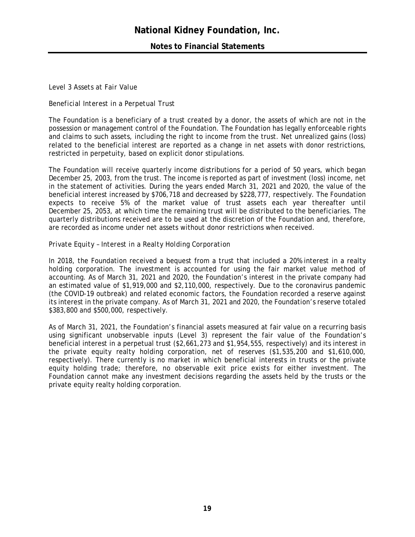#### *Level 3 Assets at Fair Value*

#### *Beneficial Interest in a Perpetual Trust*

The Foundation is a beneficiary of a trust created by a donor, the assets of which are not in the possession or management control of the Foundation. The Foundation has legally enforceable rights and claims to such assets, including the right to income from the trust. Net unrealized gains (loss) related to the beneficial interest are reported as a change in net assets with donor restrictions, restricted in perpetuity, based on explicit donor stipulations.

The Foundation will receive quarterly income distributions for a period of 50 years, which began December 25, 2003, from the trust. The income is reported as part of investment (loss) income, net in the statement of activities. During the years ended March 31, 2021 and 2020, the value of the beneficial interest increased by \$706,718 and decreased by \$228,777, respectively. The Foundation expects to receive 5% of the market value of trust assets each year thereafter until December 25, 2053, at which time the remaining trust will be distributed to the beneficiaries. The quarterly distributions received are to be used at the discretion of the Foundation and, therefore, are recorded as income under net assets without donor restrictions when received.

#### *Private Equity – Interest in a Realty Holding Corporation*

In 2018, the Foundation received a bequest from a trust that included a 20% interest in a realty holding corporation. The investment is accounted for using the fair market value method of accounting. As of March 31, 2021 and 2020, the Foundation's interest in the private company had an estimated value of \$1,919,000 and \$2,110,000, respectively. Due to the coronavirus pandemic (the COVID-19 outbreak) and related economic factors, the Foundation recorded a reserve against its interest in the private company. As of March 31, 2021 and 2020, the Foundation's reserve totaled \$383,800 and \$500,000, respectively.

As of March 31, 2021, the Foundation's financial assets measured at fair value on a recurring basis using significant unobservable inputs (Level 3) represent the fair value of the Foundation's beneficial interest in a perpetual trust (\$2,661,273 and \$1,954,555, respectively) and its interest in the private equity realty holding corporation, net of reserves (\$1,535,200 and \$1,610,000, respectively). There currently is no market in which beneficial interests in trusts or the private equity holding trade; therefore, no observable exit price exists for either investment. The Foundation cannot make any investment decisions regarding the assets held by the trusts or the private equity realty holding corporation.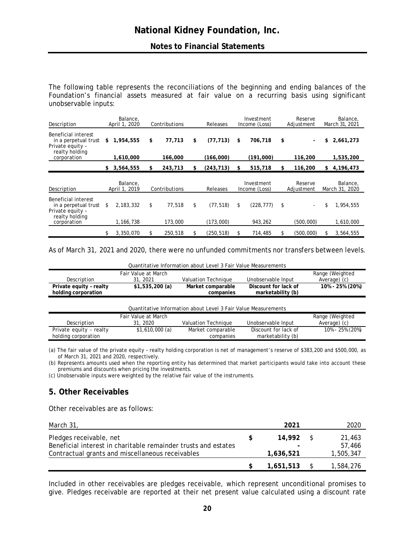The following table represents the reconciliations of the beginning and ending balances of the Foundation's financial assets measured at fair value on a recurring basis using significant unobservable inputs:

| Description                                                                       |    | Balance,<br>April 1, 2020 | Contributions | Releases         |    | Investment<br>Income (Loss) |    | Reserve<br>Adjustment    | Balance,<br>March 31, 2021 |
|-----------------------------------------------------------------------------------|----|---------------------------|---------------|------------------|----|-----------------------------|----|--------------------------|----------------------------|
| Beneficial interest<br>in a perpetual trust<br>Private equity -<br>realty holding | \$ | 1,954,555                 | \$<br>77,713  | \$<br>(77, 713)  | \$ | 706,718                     | \$ | $\overline{\phantom{a}}$ | \$<br>2,661,273            |
| corporation                                                                       |    | 1,610,000                 | 166,000       | (166,000)        |    | (191.000)                   |    | 116,200                  | 1,535,200                  |
|                                                                                   | S. | 3,564,555                 | \$<br>243,713 | \$<br>(243, 713) | \$ | 515,718                     | S  | 116,200                  | \$<br>4,196,473            |
| Description                                                                       |    | Balance,<br>April 1, 2019 | Contributions | Releases         |    | Investment<br>Income (Loss) |    | Reserve<br>Adjustment    | Balance,<br>March 31, 2020 |
| Beneficial interest<br>in a perpetual trust<br>Private equity -<br>realty holding | \$ | 2,183,332                 | \$<br>77,518  | \$<br>(77, 518)  | \$ | (228, 777)                  | \$ | $\sim$                   | \$<br>1,954,555            |
| corporation                                                                       |    | 1,166,738                 | 173,000       | (173,000)        |    | 943,262                     |    | (500,000)                | 1,610,000                  |
|                                                                                   |    | 3,350,070                 | \$<br>250,518 | \$<br>(250,518)  | S. | 714,485                     |    | (500,000)                | 3,564,555                  |

#### As of March 31, 2021 and 2020, there were no unfunded commitments nor transfers between levels.

| Quantitative Information about Level 3 Fair Value Measurements |  |  |  |  |
|----------------------------------------------------------------|--|--|--|--|
|                                                                |  |  |  |  |

|                         | Fair Value at March |                     |                      | Range (Weighted |
|-------------------------|---------------------|---------------------|----------------------|-----------------|
| Description             | 31, 2021            | Valuation Technique | Unobservable Input   | Average) (c)    |
| Private equity - realty | $$1,535,200$ (a)    | Market comparable   | Discount for lack of | 10% - 25% (20%) |
| holding corporation     |                     | companies           | marketability (b)    |                 |

|                         | Fair Value at March |                     |                      | Range (Weighted |
|-------------------------|---------------------|---------------------|----------------------|-----------------|
| Description             | 31, 2020            | Valuation Technique | Unobservable Input   | Average) (c)    |
| Private equity - realty | $$1,610,000$ (a)    | Market comparable   | Discount for lack of | 10% - 25% (20%) |
| holding corporation     |                     | companies           | marketability (b)    |                 |

(a) The fair value of the private equity – realty holding corporation is net of management's reserve of \$383,200 and \$500,000, as of March 31, 2021 and 2020, respectively.

(b) Represents amounts used when the reporting entity has determined that market participants would take into account these premiums and discounts when pricing the investments.

(c) Unobservable inputs were weighted by the relative fair value of the instruments.

#### **5. Other Receivables**

Other receivables are as follows:

| March 31,                                                                                                                                     | 2021                | 2020                          |
|-----------------------------------------------------------------------------------------------------------------------------------------------|---------------------|-------------------------------|
| Pledges receivable, net<br>Beneficial interest in charitable remainder trusts and estates<br>Contractual grants and miscellaneous receivables | 14.992<br>1,636,521 | 21,463<br>57.466<br>1,505,347 |
|                                                                                                                                               | 1,651,513           | 1,584,276                     |

Included in other receivables are pledges receivable, which represent unconditional promises to give. Pledges receivable are reported at their net present value calculated using a discount rate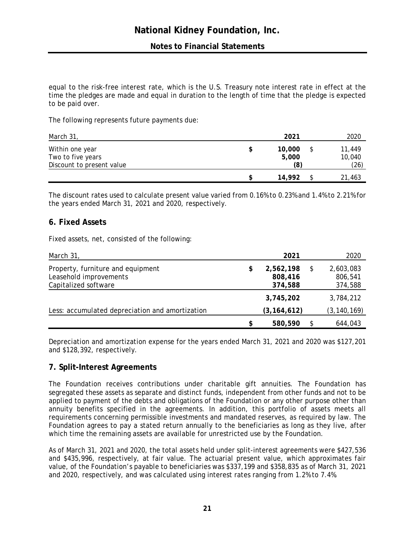equal to the risk-free interest rate, which is the U.S. Treasury note interest rate in effect at the time the pledges are made and equal in duration to the length of time that the pledge is expected to be paid over.

The following represents future payments due:

| March 31,                            | 2021            | 2020             |
|--------------------------------------|-----------------|------------------|
| Within one year<br>Two to five years | 10,000<br>5,000 | 11,449<br>10,040 |
| Discount to present value            | (8)             | (26)             |
|                                      | 14,992          | 21,463           |

The discount rates used to calculate present value varied from 0.16% to 0.23% and 1.4% to 2.21% for the years ended March 31, 2021 and 2020, respectively.

## **6. Fixed Assets**

Fixed assets, net, consisted of the following:

| March 31,                                       | 2021               | 2020               |
|-------------------------------------------------|--------------------|--------------------|
| Property, furniture and equipment               | \$<br>2,562,198    | \$<br>2,603,083    |
| Leasehold improvements<br>Capitalized software  | 808,416<br>374,588 | 806,541<br>374,588 |
|                                                 | 3,745,202          | 3,784,212          |
| Less: accumulated depreciation and amortization | (3, 164, 612)      | (3, 140, 169)      |
|                                                 | \$<br>580,590      | \$<br>644,043      |

Depreciation and amortization expense for the years ended March 31, 2021 and 2020 was \$127,201 and \$128,392, respectively.

#### **7. Split-Interest Agreements**

The Foundation receives contributions under charitable gift annuities. The Foundation has segregated these assets as separate and distinct funds, independent from other funds and not to be applied to payment of the debts and obligations of the Foundation or any other purpose other than annuity benefits specified in the agreements. In addition, this portfolio of assets meets all requirements concerning permissible investments and mandated reserves, as required by law. The Foundation agrees to pay a stated return annually to the beneficiaries as long as they live, after which time the remaining assets are available for unrestricted use by the Foundation.

As of March 31, 2021 and 2020, the total assets held under split-interest agreements were \$427,536 and \$435,996, respectively, at fair value. The actuarial present value, which approximates fair value, of the Foundation's payable to beneficiaries was \$337,199 and \$358,835 as of March 31, 2021 and 2020, respectively, and was calculated using interest rates ranging from 1.2% to 7.4%.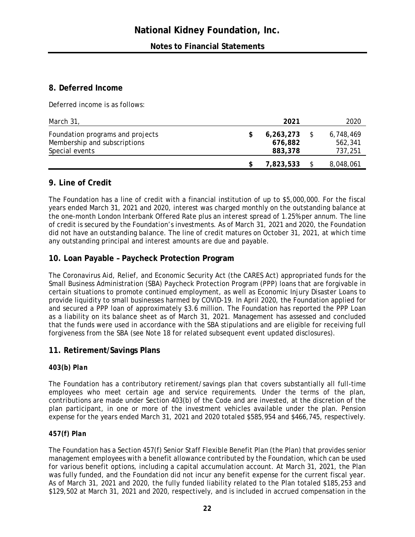## **8. Deferred Income**

Deferred income is as follows:

| March 31,                                                                          | 2021                            | 2020                            |
|------------------------------------------------------------------------------------|---------------------------------|---------------------------------|
| Foundation programs and projects<br>Membership and subscriptions<br>Special events | 6,263,273<br>676,882<br>883,378 | 6.748.469<br>562,341<br>737,251 |
|                                                                                    | 7,823,533                       | 8,048,061                       |

## **9. Line of Credit**

The Foundation has a line of credit with a financial institution of up to \$5,000,000. For the fiscal years ended March 31, 2021 and 2020, interest was charged monthly on the outstanding balance at the one-month London Interbank Offered Rate plus an interest spread of 1.25% per annum. The line of credit is secured by the Foundation's investments. As of March 31, 2021 and 2020, the Foundation did not have an outstanding balance. The line of credit matures on October 31, 2021, at which time any outstanding principal and interest amounts are due and payable.

## **10. Loan Payable – Paycheck Protection Program**

The Coronavirus Aid, Relief, and Economic Security Act (the CARES Act) appropriated funds for the Small Business Administration (SBA) Paycheck Protection Program (PPP) loans that are forgivable in certain situations to promote continued employment, as well as Economic Injury Disaster Loans to provide liquidity to small businesses harmed by COVID-19. In April 2020, the Foundation applied for and secured a PPP loan of approximately \$3.6 million. The Foundation has reported the PPP Loan as a liability on its balance sheet as of March 31, 2021. Management has assessed and concluded that the funds were used in accordance with the SBA stipulations and are eligible for receiving full forgiveness from the SBA (see Note 18 for related subsequent event updated disclosures).

## **11. Retirement/Savings Plans**

## *403(b) Plan*

The Foundation has a contributory retirement/savings plan that covers substantially all full-time employees who meet certain age and service requirements. Under the terms of the plan, contributions are made under Section 403(b) of the Code and are invested, at the discretion of the plan participant, in one or more of the investment vehicles available under the plan. Pension expense for the years ended March 31, 2021 and 2020 totaled \$585,954 and \$466,745, respectively.

## *457(f) Plan*

The Foundation has a Section 457(f) Senior Staff Flexible Benefit Plan (the Plan) that provides senior management employees with a benefit allowance contributed by the Foundation, which can be used for various benefit options, including a capital accumulation account. At March 31, 2021, the Plan was fully funded, and the Foundation did not incur any benefit expense for the current fiscal year. As of March 31, 2021 and 2020, the fully funded liability related to the Plan totaled \$185,253 and \$129,502 at March 31, 2021 and 2020, respectively, and is included in accrued compensation in the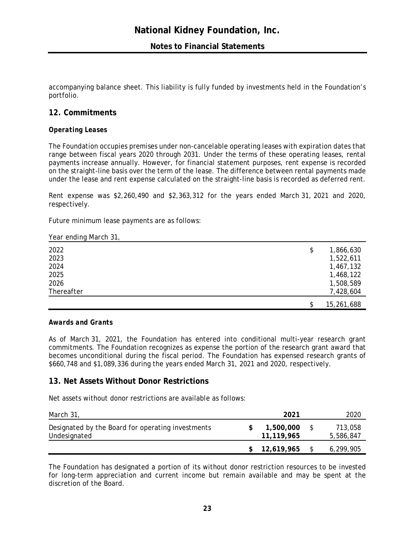accompanying balance sheet. This liability is fully funded by investments held in the Foundation's portfolio.

## **12. Commitments**

#### *Operating Leases*

The Foundation occupies premises under non-cancelable operating leases with expiration dates that range between fiscal years 2020 through 2031. Under the terms of these operating leases, rental payments increase annually. However, for financial statement purposes, rent expense is recorded on the straight-line basis over the term of the lease. The difference between rental payments made under the lease and rent expense calculated on the straight-line basis is recorded as deferred rent.

Rent expense was \$2,260,490 and \$2,363,312 for the years ended March 31, 2021 and 2020, respectively.

Future minimum lease payments are as follows:

*Year ending March 31,* 

| 2022       | \$<br>1,866,630  |
|------------|------------------|
| 2023       | 1,522,611        |
| 2024       | 1,467,132        |
| 2025       | 1,468,122        |
| 2026       | 1,508,589        |
| Thereafter | 7,428,604        |
|            | \$<br>15,261,688 |
|            |                  |

#### *Awards and Grants*

As of March 31, 2021, the Foundation has entered into conditional multi-year research grant commitments. The Foundation recognizes as expense the portion of the research grant award that becomes unconditional during the fiscal period. The Foundation has expensed research grants of \$660,748 and \$1,089,336 during the years ended March 31, 2021 and 2020, respectively.

#### **13. Net Assets Without Donor Restrictions**

Net assets without donor restrictions are available as follows:

| March 31,                                                         | 2021                    | 2020                 |
|-------------------------------------------------------------------|-------------------------|----------------------|
| Designated by the Board for operating investments<br>Undesignated | 1,500,000<br>11,119,965 | 713,058<br>5,586,847 |
|                                                                   | 12,619,965              | 6,299,905            |

The Foundation has designated a portion of its without donor restriction resources to be invested for long-term appreciation and current income but remain available and may be spent at the discretion of the Board.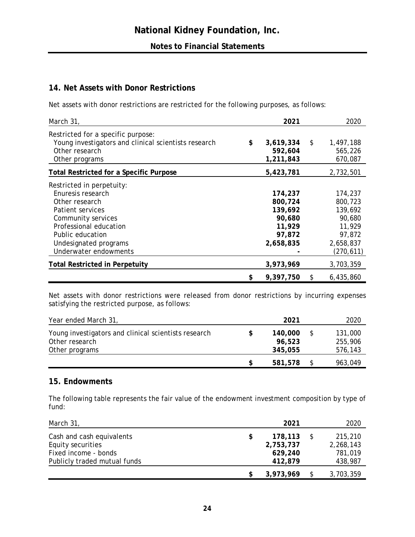## **Notes to Financial Statements**

## **14. Net Assets with Donor Restrictions**

Net assets with donor restrictions are restricted for the following purposes, as follows:

| March 31,                                                                                                                                                                                                  | 2021                                                                     | 2020                                                                                   |
|------------------------------------------------------------------------------------------------------------------------------------------------------------------------------------------------------------|--------------------------------------------------------------------------|----------------------------------------------------------------------------------------|
| Restricted for a specific purpose:<br>Young investigators and clinical scientists research<br>Other research<br>Other programs                                                                             | \$<br>3,619,334<br>592,604<br>1,211,843                                  | \$<br>1,497,188<br>565,226<br>670,087                                                  |
| <b>Total Restricted for a Specific Purpose</b>                                                                                                                                                             | 5,423,781                                                                | 2,732,501                                                                              |
| Restricted in perpetuity:<br>Enuresis research<br>Other research<br>Patient services<br>Community services<br>Professional education<br>Public education<br>Undesignated programs<br>Underwater endowments | 174,237<br>800,724<br>139,692<br>90,680<br>11,929<br>97,872<br>2,658,835 | 174,237<br>800,723<br>139,692<br>90,680<br>11,929<br>97,872<br>2,658,837<br>(270, 611) |
| <b>Total Restricted in Perpetuity</b>                                                                                                                                                                      | 3,973,969                                                                | 3,703,359                                                                              |
|                                                                                                                                                                                                            | \$<br>9,397,750                                                          | \$<br>6,435,860                                                                        |

Net assets with donor restrictions were released from donor restrictions by incurring expenses satisfying the restricted purpose, as follows:

| Year ended March 31,                                                                     | 2021                         |   | 2020                          |
|------------------------------------------------------------------------------------------|------------------------------|---|-------------------------------|
| Young investigators and clinical scientists research<br>Other research<br>Other programs | 140,000<br>96,523<br>345.055 | S | 131,000<br>255,906<br>576,143 |
|                                                                                          | 581,578                      |   | 963,049                       |

## **15. Endowments**

The following table represents the fair value of the endowment investment composition by type of fund:

| March 31,                    | 2021      | 2020      |
|------------------------------|-----------|-----------|
| Cash and cash equivalents    | 178,113   | 215,210   |
| Equity securities            | 2,753,737 | 2,268,143 |
| Fixed income - bonds         | 629,240   | 781,019   |
| Publicly traded mutual funds | 412,879   | 438,987   |
|                              | 3,973,969 | 3,703,359 |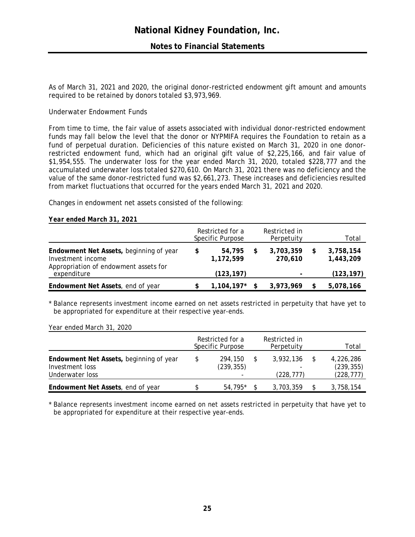## **Notes to Financial Statements**

As of March 31, 2021 and 2020, the original donor-restricted endowment gift amount and amounts required to be retained by donors totaled \$3,973,969.

#### *Underwater Endowment Funds*

From time to time, the fair value of assets associated with individual donor-restricted endowment funds may fall below the level that the donor or NYPMIFA requires the Foundation to retain as a fund of perpetual duration. Deficiencies of this nature existed on March 31, 2020 in one donorrestricted endowment fund, which had an original gift value of \$2,225,166, and fair value of \$1,954,555. The underwater loss for the year ended March 31, 2020, totaled \$228,777 and the accumulated underwater loss totaled \$270,610. On March 31, 2021 there was no deficiency and the value of the same donor-restricted fund was \$2,661,273. These increases and deficiencies resulted from market fluctuations that occurred for the years ended March 31, 2021 and 2020.

Changes in endowment net assets consisted of the following:

#### *Year ended March 31, 2021*

|                                                                                                       |   | Restricted for a<br>Specific Purpose |  | Restricted in<br>Perpetuity |  | Total                  |
|-------------------------------------------------------------------------------------------------------|---|--------------------------------------|--|-----------------------------|--|------------------------|
| Endowment Net Assets, beginning of year<br>Investment income<br>Appropriation of endowment assets for | S | 54,795<br>1,172,599                  |  | 3,703,359<br>270,610        |  | 3,758,154<br>1,443,209 |
| expenditure                                                                                           |   | (123, 197)                           |  | $\overline{\phantom{0}}$    |  | (123, 197)             |
| Endowment Net Assets, end of year                                                                     |   | $1,104,197*$                         |  | 3,973,969                   |  | 5,078,166              |

\* Balance represents investment income earned on net assets restricted in perpetuity that have yet to be appropriated for expenditure at their respective year-ends.

*Year ended March 31, 2020*

|                                                                               | Restricted for a<br>Specific Purpose | Restricted in<br>Perpetuity | Total                                 |
|-------------------------------------------------------------------------------|--------------------------------------|-----------------------------|---------------------------------------|
| Endowment Net Assets, beginning of year<br>Investment loss<br>Underwater loss | 294,150<br>(239, 355)                | 3,932,136<br>(228, 777)     | 4,226,286<br>(239, 355)<br>(228, 777) |
| Endowment Net Assets, end of year                                             | 54,795*                              | 3,703,359                   | 3,758,154                             |

\* Balance represents investment income earned on net assets restricted in perpetuity that have yet to be appropriated for expenditure at their respective year-ends.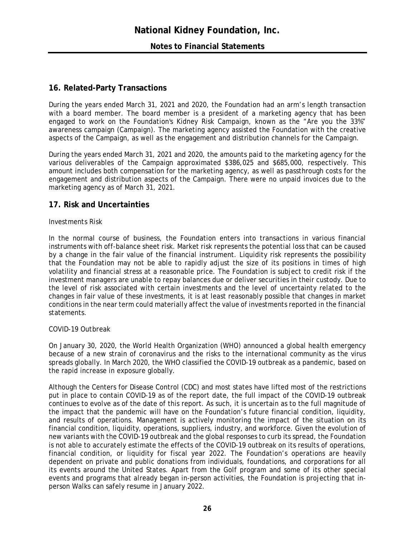## **16. Related-Party Transactions**

During the years ended March 31, 2021 and 2020, the Foundation had an arm's length transaction with a board member. The board member is a president of a marketing agency that has been engaged to work on the Foundation's Kidney Risk Campaign, known as the "Are you the 33%" awareness campaign (Campaign). The marketing agency assisted the Foundation with the creative aspects of the Campaign, as well as the engagement and distribution channels for the Campaign.

During the years ended March 31, 2021 and 2020, the amounts paid to the marketing agency for the various deliverables of the Campaign approximated \$386,025 and \$685,000, respectively. This amount includes both compensation for the marketing agency, as well as passthrough costs for the engagement and distribution aspects of the Campaign. There were no unpaid invoices due to the marketing agency as of March 31, 2021.

## **17. Risk and Uncertainties**

#### *Investments Risk*

In the normal course of business, the Foundation enters into transactions in various financial instruments with off-balance sheet risk. Market risk represents the potential loss that can be caused by a change in the fair value of the financial instrument. Liquidity risk represents the possibility that the Foundation may not be able to rapidly adjust the size of its positions in times of high volatility and financial stress at a reasonable price. The Foundation is subject to credit risk if the investment managers are unable to repay balances due or deliver securities in their custody. Due to the level of risk associated with certain investments and the level of uncertainty related to the changes in fair value of these investments, it is at least reasonably possible that changes in market conditions in the near term could materially affect the value of investments reported in the financial statements.

#### *COVID-19 Outbreak*

On January 30, 2020, the World Health Organization (WHO) announced a global health emergency because of a new strain of coronavirus and the risks to the international community as the virus spreads globally. In March 2020, the WHO classified the COVID-19 outbreak as a pandemic, based on the rapid increase in exposure globally.

Although the Centers for Disease Control (CDC) and most states have lifted most of the restrictions put in place to contain COVID-19 as of the report date, the full impact of the COVID-19 outbreak continues to evolve as of the date of this report. As such, it is uncertain as to the full magnitude of the impact that the pandemic will have on the Foundation's future financial condition, liquidity, and results of operations. Management is actively monitoring the impact of the situation on its financial condition, liquidity, operations, suppliers, industry, and workforce. Given the evolution of new variants with the COVID-19 outbreak and the global responses to curb its spread, the Foundation is not able to accurately estimate the effects of the COVID-19 outbreak on its results of operations, financial condition, or liquidity for fiscal year 2022. The Foundation's operations are heavily dependent on private and public donations from individuals, foundations, and corporations for all its events around the United States. Apart from the Golf program and some of its other special events and programs that already began in-person activities, the Foundation is projecting that inperson Walks can safely resume in January 2022.